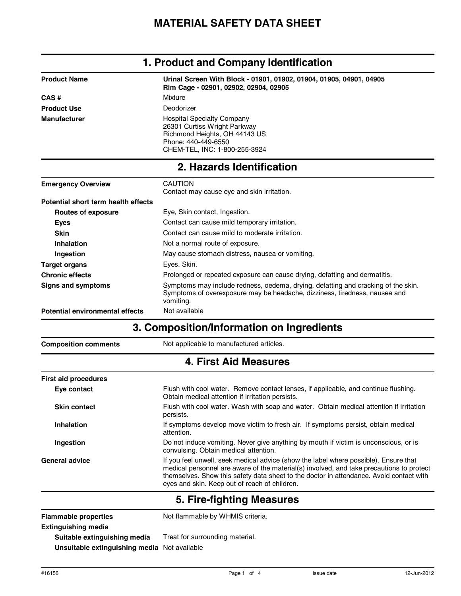| <b>Product Name</b> | Urinal Screen With Block - 01901, 01902, 01904, 01905, 04901, 04905<br>Rim Cage - 02901, 02902, 02904, 02905                                               |  |
|---------------------|------------------------------------------------------------------------------------------------------------------------------------------------------------|--|
| CAS#                | Mixture                                                                                                                                                    |  |
| <b>Product Use</b>  | Deodorizer                                                                                                                                                 |  |
| <b>Manufacturer</b> | <b>Hospital Specialty Company</b><br>26301 Curtiss Wright Parkway<br>Richmond Heights, OH 44143 US<br>Phone: 440-449-6550<br>CHEM-TEL, INC: 1-800-255-3924 |  |

#### **1. Product and Company Identification**

## **2. Hazards Identification**

| <b>Emergency Overview</b>           | <b>CAUTION</b><br>Contact may cause eye and skin irritation.                                                                                                                 |
|-------------------------------------|------------------------------------------------------------------------------------------------------------------------------------------------------------------------------|
| Potential short term health effects |                                                                                                                                                                              |
| Routes of exposure                  | Eye, Skin contact, Ingestion.                                                                                                                                                |
| Eyes                                | Contact can cause mild temporary irritation.                                                                                                                                 |
| Skin                                | Contact can cause mild to moderate irritation.                                                                                                                               |
| Inhalation                          | Not a normal route of exposure.                                                                                                                                              |
| Ingestion                           | May cause stomach distress, nausea or vomiting.                                                                                                                              |
| <b>Target organs</b>                | Eyes. Skin.                                                                                                                                                                  |
| <b>Chronic effects</b>              | Prolonged or repeated exposure can cause drying, defatting and dermatitis.                                                                                                   |
| Signs and symptoms                  | Symptoms may include redness, oedema, drying, defatting and cracking of the skin.<br>Symptoms of overexposure may be headache, dizziness, tiredness, nausea and<br>vomiting. |
| Potential environmental effects     | Not available                                                                                                                                                                |

## **3. Composition/Information on Ingredients**

**Composition comments** Not applicable to manufactured articles.

### **4. First Aid Measures**

| <b>First aid procedures</b> |                                                                                                                                                                                                                                                                                                                              |  |
|-----------------------------|------------------------------------------------------------------------------------------------------------------------------------------------------------------------------------------------------------------------------------------------------------------------------------------------------------------------------|--|
| Eye contact                 | Flush with cool water. Remove contact lenses, if applicable, and continue flushing.<br>Obtain medical attention if irritation persists.                                                                                                                                                                                      |  |
| <b>Skin contact</b>         | Flush with cool water. Wash with soap and water. Obtain medical attention if irritation<br>persists.                                                                                                                                                                                                                         |  |
| Inhalation                  | If symptoms develop move victim to fresh air. If symptoms persist, obtain medical<br>attention.                                                                                                                                                                                                                              |  |
| Ingestion                   | Do not induce vomiting. Never give anything by mouth if victim is unconscious, or is<br>convulsing. Obtain medical attention.                                                                                                                                                                                                |  |
| <b>General advice</b>       | If you feel unwell, seek medical advice (show the label where possible). Ensure that<br>medical personnel are aware of the material(s) involved, and take precautions to protect<br>themselves. Show this safety data sheet to the doctor in attendance. Avoid contact with<br>eyes and skin. Keep out of reach of children. |  |

### **5. Fire-fighting Measures**

Flammable properties **Not flammable by WHMIS criteria. Suitable extinguishing media Extinguishing media**

Treat for surrounding material.

**Unsuitable extinguishing media** Not available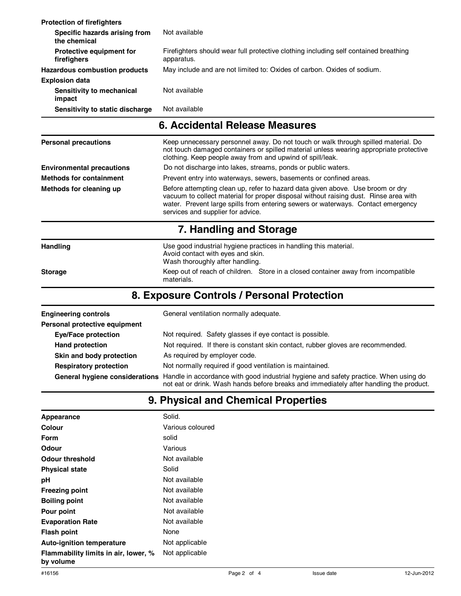| <b>Protection of firefighters</b>              |                                                                                                    |
|------------------------------------------------|----------------------------------------------------------------------------------------------------|
| Specific hazards arising from<br>the chemical  | Not available                                                                                      |
| <b>Protective equipment for</b><br>firefighers | Firefighters should wear full protective clothing including self contained breathing<br>apparatus. |
| Hazardous combustion products                  | May include and are not limited to: Oxides of carbon. Oxides of sodium.                            |
| <b>Explosion data</b>                          |                                                                                                    |
| Sensitivity to mechanical<br>impact            | Not available                                                                                      |
| Sensitivity to static discharge                | Not available                                                                                      |
|                                                | 6. Accidental Release Measures                                                                     |

| <b>Personal precautions</b>      | Keep unnecessary personnel away. Do not touch or walk through spilled material. Do<br>not touch damaged containers or spilled material unless wearing appropriate protective<br>clothing. Keep people away from and upwind of spill/leak.                                                       |  |
|----------------------------------|-------------------------------------------------------------------------------------------------------------------------------------------------------------------------------------------------------------------------------------------------------------------------------------------------|--|
| <b>Environmental precautions</b> | Do not discharge into lakes, streams, ponds or public waters.                                                                                                                                                                                                                                   |  |
| <b>Methods for containment</b>   | Prevent entry into waterways, sewers, basements or confined areas.                                                                                                                                                                                                                              |  |
| Methods for cleaning up          | Before attempting clean up, refer to hazard data given above. Use broom or dry<br>vacuum to collect material for proper disposal without raising dust. Rinse area with<br>water. Prevent large spills from entering sewers or waterways. Contact emergency<br>services and supplier for advice. |  |
|                                  | 7. Handling and Storage                                                                                                                                                                                                                                                                         |  |
| Handling                         | Use good industrial hygiene practices in handling this material.<br>Avoid contact with eyes and skin.<br>Wash thoroughly after handling.                                                                                                                                                        |  |
| <b>Storage</b>                   | Keep out of reach of children. Store in a closed container away from incompatible<br>materials.                                                                                                                                                                                                 |  |

# **8. Exposure Controls / Personal Protection**

| <b>Engineering controls</b>                               | General ventilation normally adequate.                                                                                                                                         |  |
|-----------------------------------------------------------|--------------------------------------------------------------------------------------------------------------------------------------------------------------------------------|--|
| Personal protective equipment                             |                                                                                                                                                                                |  |
| <b>Eye/Face protection</b>                                | Not required. Safety glasses if eye contact is possible.                                                                                                                       |  |
| <b>Hand protection</b>                                    | Not required. If there is constant skin contact, rubber gloves are recommended.                                                                                                |  |
| As required by employer code.<br>Skin and body protection |                                                                                                                                                                                |  |
| <b>Respiratory protection</b>                             | Not normally required if good ventilation is maintained.                                                                                                                       |  |
| General hygiene considerations                            | Handle in accordance with good industrial hygiene and safety practice. When using do<br>not eat or drink. Wash hands before breaks and immediately after handling the product. |  |

# **9. Physical and Chemical Properties**

| Appearance                                        | Solid.           |
|---------------------------------------------------|------------------|
| Colour                                            | Various coloured |
| Form                                              | solid            |
| Odour                                             | Various          |
| Odour threshold                                   | Not available    |
| <b>Physical state</b>                             | Solid            |
| рH                                                | Not available    |
| <b>Freezing point</b>                             | Not available    |
| <b>Boiling point</b>                              | Not available    |
| Pour point                                        | Not available    |
| <b>Evaporation Rate</b>                           | Not available    |
| Flash point                                       | None             |
| <b>Auto-ignition temperature</b>                  | Not applicable   |
| Flammability limits in air, lower, %<br>by volume | Not applicable   |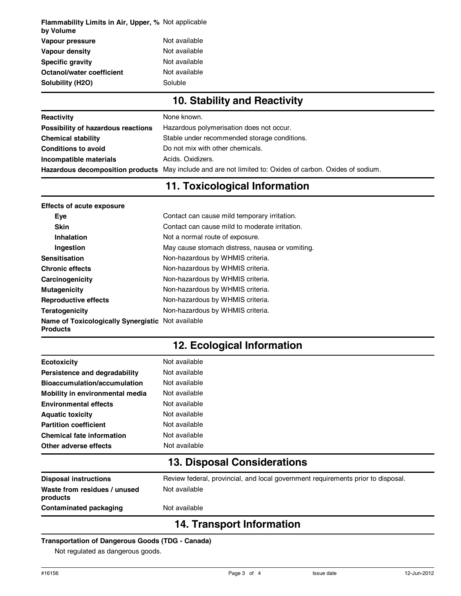| <b>Flammability Limits in Air, Upper, % Not applicable</b><br>by Volume |               |
|-------------------------------------------------------------------------|---------------|
| Vapour pressure                                                         | Not available |
| Vapour density                                                          | Not available |
| <b>Specific gravity</b>                                                 | Not available |
| Octanol/water coefficient                                               | Not available |
| Solubility (H2O)                                                        | Soluble       |
|                                                                         |               |

# **10. Stability and Reactivity**

| Reactivity                         | None known.                                                                                              |
|------------------------------------|----------------------------------------------------------------------------------------------------------|
| Possibility of hazardous reactions | Hazardous polymerisation does not occur.                                                                 |
| <b>Chemical stability</b>          | Stable under recommended storage conditions.                                                             |
| <b>Conditions to avoid</b>         | Do not mix with other chemicals.                                                                         |
| Incompatible materials             | Acids, Oxidizers.                                                                                        |
|                                    | Hazardous decomposition products May include and are not limited to: Oxides of carbon. Oxides of sodium. |

## **11. Toxicological Information**

| <b>Effects of acute exposure</b>                                     |                                                 |  |
|----------------------------------------------------------------------|-------------------------------------------------|--|
| Eve                                                                  | Contact can cause mild temporary irritation.    |  |
| <b>Skin</b>                                                          | Contact can cause mild to moderate irritation.  |  |
| Not a normal route of exposure.<br>Inhalation                        |                                                 |  |
| Ingestion                                                            | May cause stomach distress, nausea or vomiting. |  |
| <b>Sensitisation</b>                                                 | Non-hazardous by WHMIS criteria.                |  |
| <b>Chronic effects</b>                                               | Non-hazardous by WHMIS criteria.                |  |
| Carcinogenicity                                                      | Non-hazardous by WHMIS criteria.                |  |
| <b>Mutagenicity</b>                                                  | Non-hazardous by WHMIS criteria.                |  |
| <b>Reproductive effects</b>                                          | Non-hazardous by WHMIS criteria.                |  |
| Teratogenicity                                                       | Non-hazardous by WHMIS criteria.                |  |
| Name of Toxicologically Synergistic Not available<br><b>Products</b> |                                                 |  |

# **12. Ecological Information**

| <b>Ecotoxicity</b>                       | Not available                                                                    |
|------------------------------------------|----------------------------------------------------------------------------------|
| Persistence and degradability            | Not available                                                                    |
| Bioaccumulation/accumulation             | Not available                                                                    |
| Mobility in environmental media          | Not available                                                                    |
| <b>Environmental effects</b>             | Not available                                                                    |
| <b>Aquatic toxicity</b>                  | Not available                                                                    |
| <b>Partition coefficient</b>             | Not available                                                                    |
| <b>Chemical fate information</b>         | Not available                                                                    |
| Other adverse effects                    | Not available                                                                    |
|                                          | <b>13. Disposal Considerations</b>                                               |
| <b>Disposal instructions</b>             | Review federal, provincial, and local government requirements prior to disposal. |
| Waste from residues / unused<br>products | Not available                                                                    |
| <b>Contaminated packaging</b>            | Not available                                                                    |
|                                          | <b>14. Transport Information</b>                                                 |

#### **Transportation of Dangerous Goods (TDG - Canada)**

Not regulated as dangerous goods.